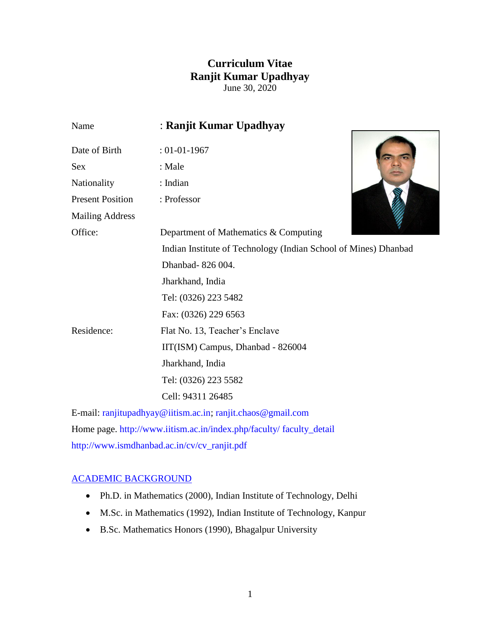# **Curriculum Vitae Ranjit Kumar Upadhyay** June 30, 2020

| Name                    | : Ranjit Kumar Upadhyay                                         |
|-------------------------|-----------------------------------------------------------------|
| Date of Birth           | $: 01 - 01 - 1967$                                              |
| <b>Sex</b>              | : Male                                                          |
| Nationality             | : Indian                                                        |
| <b>Present Position</b> | : Professor                                                     |
| <b>Mailing Address</b>  |                                                                 |
| Office:                 | Department of Mathematics & Computing                           |
|                         | Indian Institute of Technology (Indian School of Mines) Dhanbad |
|                         | Dhanbad-826 004.                                                |
|                         | Jharkhand, India                                                |
|                         | Tel: (0326) 223 5482                                            |
|                         | Fax: (0326) 229 6563                                            |
| Residence:              | Flat No. 13, Teacher's Enclave                                  |
|                         | IIT(ISM) Campus, Dhanbad - 826004                               |
|                         | Jharkhand, India                                                |
|                         | Tel: (0326) 223 5582                                            |
|                         | Cell: 94311 26485                                               |
|                         | E-mail: ranjitupadhyay@iitism.ac.in; ranjit.chaos@gmail.com     |
|                         |                                                                 |

Home page. [http://www.iitism.ac.in/index.php/faculty/ faculty\\_detail](http://www.iitism.ac.in/index.php/faculty/%20faculty_detail)  [http://www.ismdhanbad.ac.in/cv/cv\\_ranjit.pdf](http://www.ismdhanbad.ac.in/cv/cv_ranjit.pdf)

# [ACADEMIC BACKGROUND](http://www.ismdhanbad.ac.in/ranjit/profile/public/)

- Ph.D. in Mathematics (2000), Indian Institute of Technology, Delhi
- M.Sc. in Mathematics (1992), Indian Institute of Technology, Kanpur
- B.Sc. Mathematics Honors (1990), Bhagalpur University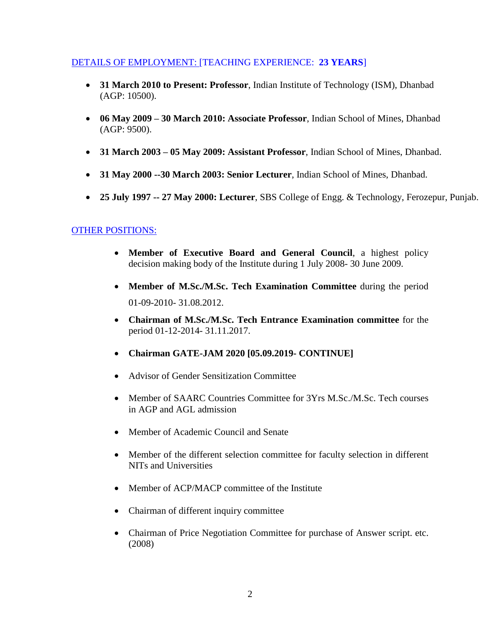### [DETAILS OF EMPLOYMENT: \[TEACHING EXPERIENCE:](http://www.ismdhanbad.ac.in/cv/cv_ranjit.pdf) **23 YEARS**]

- **31 March 2010 to Present: Professor**, Indian Institute of Technology (ISM), Dhanbad (AGP: 10500).
- **06 May 2009 – 30 March 2010: Associate Professor**, Indian School of Mines, Dhanbad (AGP: 9500).
- **31 March 2003 – 05 May 2009: Assistant Professor**, Indian School of Mines, Dhanbad.
- **31 May 2000 --30 March 2003: Senior Lecturer**, Indian School of Mines, Dhanbad.
- **25 July 1997 -- 27 May 2000: Lecturer**, SBS College of Engg. & Technology, Ferozepur, Punjab.

### [OTHER POSITIONS:](http://www.ismdhanbad.ac.in/cv/cv_ranjit.pdf)

- **Member of Executive Board and General Council**, a highest policy decision making body of the Institute during 1 July 2008- 30 June 2009.
- **Member of M.Sc./M.Sc. Tech Examination Committee** during the period 01-09-2010- 31.08.2012.
- **Chairman of M.Sc./M.Sc. Tech Entrance Examination committee** for the period 01-12-2014- 31.11.2017.
- **Chairman GATE-JAM 2020 [05.09.2019- CONTINUE]**
- Advisor of Gender Sensitization Committee
- Member of SAARC Countries Committee for 3Yrs M.Sc./M.Sc. Tech courses in AGP and AGL admission
- Member of Academic Council and Senate
- Member of the different selection committee for faculty selection in different NITs and Universities
- Member of ACP/MACP committee of the Institute
- Chairman of different inquiry committee
- Chairman of Price Negotiation Committee for purchase of Answer script. etc. (2008)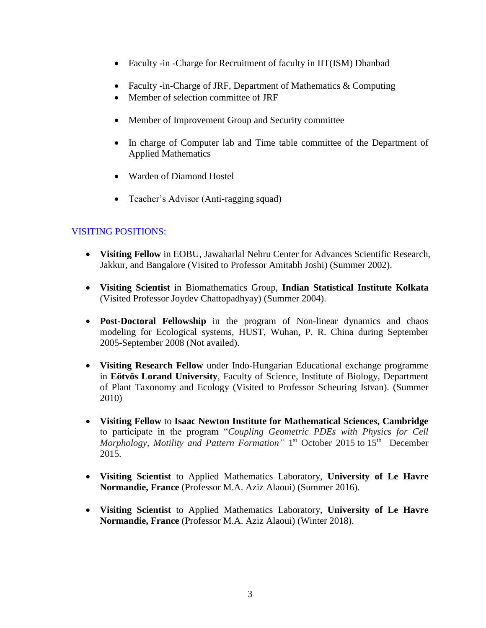- Faculty -in -Charge for Recruitment of faculty in IIT(ISM) Dhanbad
- Faculty -in-Charge of JRF, Department of Mathematics & Computing
- Member of selection committee of JRF
- Member of Improvement Group and Security committee
- In charge of Computer lab and Time table committee of the Department of Applied Mathematics
- Warden of Diamond Hostel
- Teacher's Advisor (Anti-ragging squad)

# [VISITING POSITIONS:](http://www.ismdhanbad.ac.in/cv/cv_ranjit.pdf)

- **Visiting Fellow** in EOBU, Jawaharlal Nehru Center for Advances Scientific Research, Jakkur, and Bangalore (Visited to Professor Amitabh Joshi) (Summer 2002).
- **Visiting Scientist** in Biomathematics Group, **Indian Statistical Institute Kolkata** (Visited Professor Joydev Chattopadhyay) (Summer 2004).
- **Post-Doctoral Fellowship** in the program of Non-linear dynamics and chaos modeling for Ecological systems, HUST, Wuhan, P. R. China during September 2005-September 2008 (Not availed).
- **Visiting Research Fellow** under Indo-Hungarian Educational exchange programme in **Eötvös Lorand University**, Faculty of Science, Institute of Biology, Department of Plant Taxonomy and Ecology (Visited to Professor Scheuring Istvan). (Summer 2010)
- **Visiting Fellow** to **Isaac Newton Institute for Mathematical Sciences, Cambridge** to participate in the program "*[Coupling Geometric PDEs with Physics for Cell](https://www.newton.ac.uk/event/cgp)*  [Morphology, Motility and Pattern Formation"](https://www.newton.ac.uk/event/cgp) 1<sup>st</sup> October 2015 to 15<sup>th</sup> December 2015.
- **Visiting Scientist** to Applied Mathematics Laboratory, **University of Le Havre Normandie, France** (Professor M.A. Aziz Alaoui) (Summer 2016).
- **Visiting Scientist** to Applied Mathematics Laboratory, **University of Le Havre Normandie, France** (Professor M.A. Aziz Alaoui) (Winter 2018).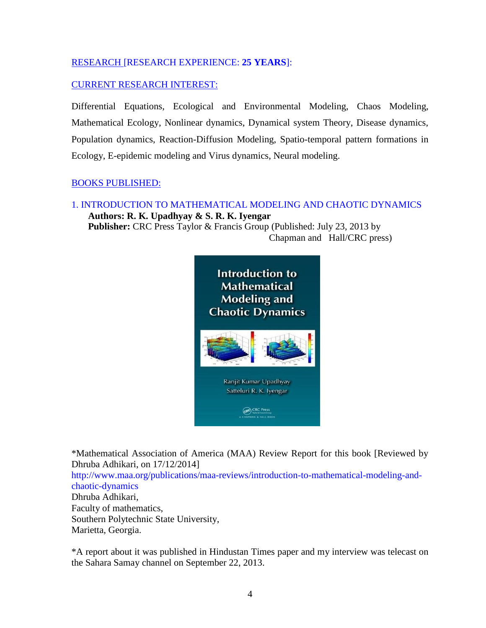# [RESEARCH \[RESEARCH EXPERIENCE:](http://www.ismdhanbad.ac.in/cv/cv_ranjit.pdf) **25 YEARS**]:

## [CURRENT RESEARCH INTEREST:](http://www.ismdhanbad.ac.in/cv/cv_ranjit.pdf)

Differential Equations, Ecological and Environmental Modeling, Chaos Modeling, Mathematical Ecology, Nonlinear dynamics, Dynamical system Theory, Disease dynamics, Population dynamics, Reaction-Diffusion Modeling, Spatio-temporal pattern formations in Ecology, E-epidemic modeling and Virus dynamics, Neural modeling.

### [BOOKS PUBLISHED:](http://www.ismdhanbad.ac.in/cv/cv_ranjit.pdf)

1. [INTRODUCTION TO MATHEMATICAL MODELING AND CHAOTIC DYNAMICS](http://www.ismdhanbad.ac.in/cv/cv_ranjit.pdf)   **Authors: R. K. Upadhyay & S. R. K. Iyengar Publisher:** CRC Press Taylor & Francis Group (Published: July 23, 2013 by Chapman and Hall/CRC press)



\*Mathematical Association of America (MAA) Review Report for this book [Reviewed by Dhruba Adhikari, on 17/12/2014] [http://www.maa.org/publications/maa-reviews/introduction-to-mathematical-modeling-and](http://www.maa.org/publications/maa-reviews/introduction-to-mathematical-modeling-and-chaotic-dynamics)[chaotic-dynamics](http://www.maa.org/publications/maa-reviews/introduction-to-mathematical-modeling-and-chaotic-dynamics)  Dhruba Adhikari, Faculty of mathematics, Southern Polytechnic State University, Marietta, Georgia.

\*A report about it was published in Hindustan Times paper and my interview was telecast on the Sahara Samay channel on September 22, 2013.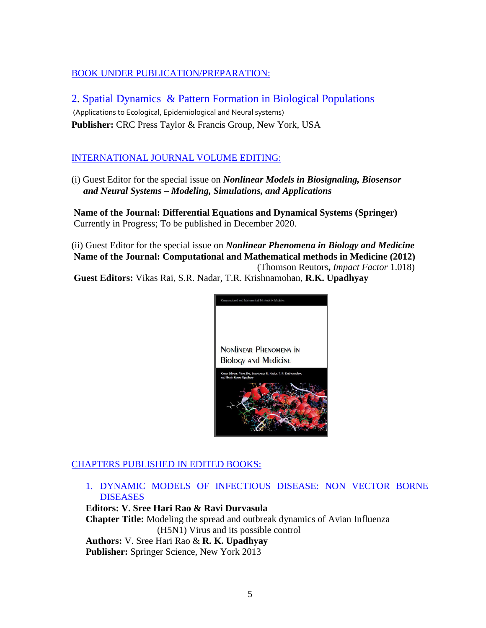# [BOOK UNDER PUBLICATION/PREPARATION:](http://www.ismdhanbad.ac.in/cv/cv_ranjit.pdf)

2. [Spatial Dynamics & Pattern Formation in Biological Populations](http://www.ismdhanbad.ac.in/cv/cv_ranjit.pdf) (Applications to Ecological, Epidemiological and Neural systems) **Publisher:** CRC Press Taylor & Francis Group, New York, USA

# [INTERNATIONAL JOURNAL VOLUME](http://www.ismdhanbad.ac.in/cv/cv_ranjit.pdf) EDITING:

(i) Guest Editor for the special issue on *Nonlinear Models in Biosignaling, Biosensor and Neural Systems – Modeling, Simulations, and Applications*

**Name of the Journal: Differential Equations and Dynamical Systems (Springer)**  Currently in Progress; To be published in December 2020.

(ii) Guest Editor for the special issue on *Nonlinear Phenomena in Biology and Medicine*  **Name of the Journal: Computational and Mathematical methods in Medicine (2012)** (Thomson Reutors**,** *Impact Factor* 1.018) **Guest Editors:** Vikas Rai, S.R. Nadar, T.R. Krishnamohan, **R.K. Upadhyay**



# [CHAPTERS PUBLISHED](http://www.ismdhanbad.ac.in/cv/cv_ranjit.pdf) IN EDITED BOOKS:

1. [DYNAMIC MODELS OF INFECTIOUS DISEASE: NON VECTOR BORNE](http://www.ismdhanbad.ac.in/cv/cv_ranjit.pdf)  **DISEASES** 

**Editors: V. Sree Hari Rao & Ravi Durvasula Chapter Title:** Modeling the spread and outbreak dynamics of Avian Influenza (H5N1) Virus and its possible control  **Authors:** V. Sree Hari Rao & **R. K. Upadhyay Publisher:** Springer Science, New York 2013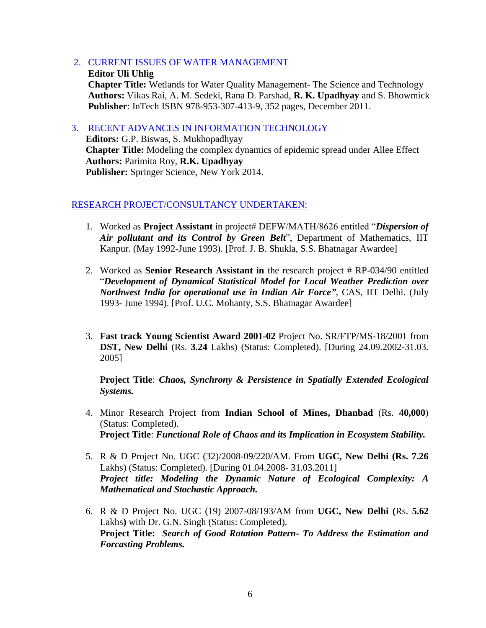- [2. CURRENT ISSUES OF WATER MANAGEMENT](http://www.ismdhanbad.ac.in/cv/cv_ranjit.pdf)
- **Editor [Uli Uhlig](http://www.intechopen.com/books/editor/current-issues-of-water-management) Chapter Title:** Wetlands for Water Quality Management- The Science and Technology **Authors:** Vikas Rai, A. M. Sedeki, Rana D. Parshad, **R. K. Upadhyay** and S. Bhowmick **Publisher**: InTech ISBN 978-953-307-413-9, 352 pages, December 2011.

[3. RECENT ADVANCES IN INFORMATION TECHNOLOGY](http://www.ismdhanbad.ac.in/cv/cv_ranjit.pdf)  **Editors:** G.P. Biswas, S. Mukhopadhyay **Chapter Title:** Modeling the complex dynamics of epidemic spread under Allee Effect **Authors:** Parimita Roy, **R.K. Upadhyay Publisher:** Springer Science, New York 2014.

#### [RESEARCH PROJECT/CONSULTANCY](http://www.ismdhanbad.ac.in/cv/cv_ranjit.pdf) UNDERTAKEN:

- 1. Worked as **Project Assistant** in project# DEFW/MATH/8626 entitled "*Dispersion of Air pollutant and its Control by Green Belt*", Department of Mathematics, IIT Kanpur. (May 1992-June 1993). [Prof. J. B. Shukla, S.S. Bhatnagar Awardee]
- 2. Worked as **Senior Research Assistant in** the research project # RP-034/90 entitled "*Development of Dynamical Statistical Model for Local Weather Prediction over Northwest India for operational use in Indian Air Force"*, CAS, IIT Delhi. (July 1993- June 1994). [Prof. U.C. Mohanty, S.S. Bhatnagar Awardee]
- 3. **Fast track Young Scientist Award 2001-02** Project No. SR/FTP/MS-18/2001 from **DST, New Delhi** (Rs. **3.24** Lakhs) (Status: Completed). [During 24.09.2002-31.03. 2005]

**Project Title**: *Chaos, Synchrony & Persistence in Spatially Extended Ecological Systems.*

- 4. Minor Research Project from **Indian School of Mines, Dhanbad** (Rs. **40,000**) (Status: Completed). **Project Title**: *Functional Role of Chaos and its Implication in Ecosystem Stability.*
- 5. R & D Project No. UGC (32)/2008-09/220/AM. From **UGC, New Delhi (Rs. 7.26** Lakhs) (Status: Completed). [During 01.04.2008- 31.03.2011] *Project title: Modeling the Dynamic Nature of Ecological Complexity: A Mathematical and Stochastic Approach.*
- 6. R & D Project No. UGC (19) 2007-08/193/AM from **UGC, New Delhi (**Rs. **5.62** Lakhs**)** with Dr. G.N. Singh (Status: Completed). **Project Title:** *Search of Good Rotation Pattern- To Address the Estimation and Forcasting Problems.*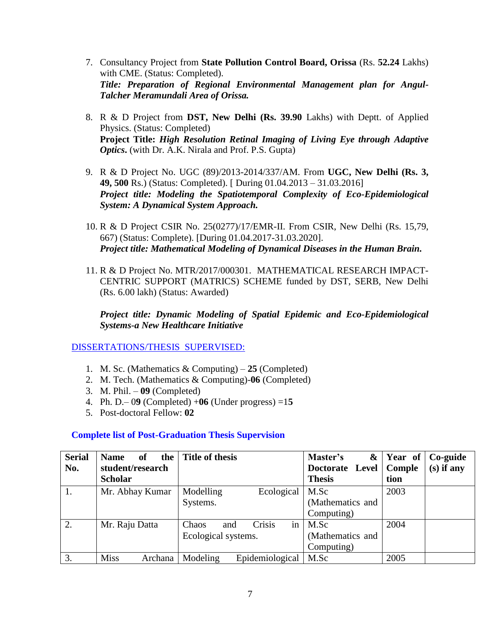- 7. Consultancy Project from **State Pollution Control Board, Orissa** (Rs. **52.24** Lakhs) with CME. (Status: Completed). *Title: Preparation of Regional Environmental Management plan for Angul-Talcher Meramundali Area of Orissa.*
- 8. R & D Project from **DST, New Delhi (Rs. 39.90** Lakhs) with Deptt. of Applied Physics. (Status: Completed) **Project Title:** *High Resolution Retinal Imaging of Living Eye through Adaptive Optics***.** (with Dr. A.K. Nirala and Prof. P.S. Gupta)
- 9. R & D Project No. UGC (89)/2013-2014/337/AM. From **UGC, New Delhi (Rs. 3, 49, 500** Rs.) (Status: Completed). [ During 01.04.2013 – 31.03.2016] *Project title: Modeling the Spatiotemporal Complexity of Eco-Epidemiological System: A Dynamical System Approach.*
- 10. R & D Project CSIR No. 25(0277)/17/EMR-II. From CSIR, New Delhi (Rs. 15,79, 667) (Status: Complete). [During 01.04.2017-31.03.2020]. *Project title: Mathematical Modeling of Dynamical Diseases in the Human Brain.*
- 11. R & D Project No. MTR/2017/000301. MATHEMATICAL RESEARCH IMPACT-CENTRIC SUPPORT (MATRICS) SCHEME funded by DST, SERB, New Delhi (Rs. 6.00 lakh) (Status: Awarded)

*Project title: Dynamic Modeling of Spatial Epidemic and Eco-Epidemiological Systems-a New Healthcare Initiative*

[DISSERTATIONS/THESIS SUPERVISED:](http://www.ismdhanbad.ac.in/cv/cv_ranjit.pdf)

- 1. M. Sc. (Mathematics & Computing) **25** (Completed)
- 2. M. Tech. (Mathematics & Computing)-**06** (Completed)
- 3. M. Phil. **09** (Completed)
- 4. Ph. D.– 0**9** (Completed) +**06** (Under progress) =1**5**
- 5. Post-doctoral Fellow: **02**

# **Complete list of Post-Graduation Thesis Supervision**

| <b>Serial</b> | <b>Name</b><br>of<br>the | Title of thesis              | Master's<br>&    | Year of | Co-guide     |
|---------------|--------------------------|------------------------------|------------------|---------|--------------|
| No.           | student/research         |                              | Doctorate Level  | Comple  | $(s)$ if any |
|               | <b>Scholar</b>           |                              | <b>Thesis</b>    | tion    |              |
| 1.            | Mr. Abhay Kumar          | Modelling<br>Ecological      | M.Sc             | 2003    |              |
|               |                          | Systems.                     | (Mathematics and |         |              |
|               |                          |                              | Computing)       |         |              |
| 2.            | Mr. Raju Datta           | Crisis<br>in<br>Chaos<br>and | M.Sc             | 2004    |              |
|               |                          | Ecological systems.          | (Mathematics and |         |              |
|               |                          |                              | Computing)       |         |              |
| 3.            | <b>Miss</b><br>Archana   | Epidemiological<br>Modeling  | M.Sc             | 2005    |              |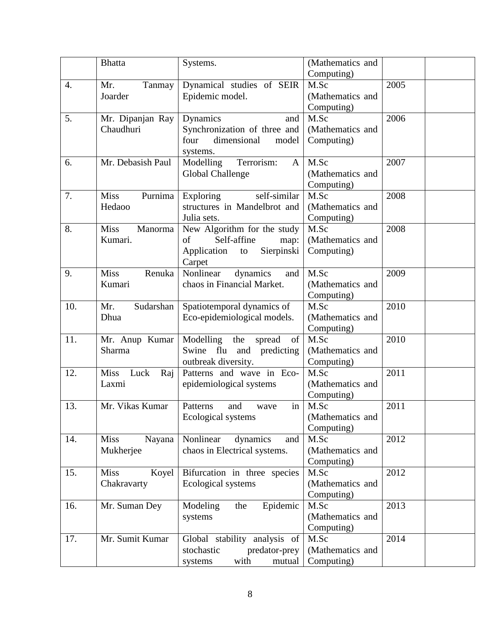|                  | <b>Bhatta</b>              | Systems.                                | (Mathematics and |      |
|------------------|----------------------------|-----------------------------------------|------------------|------|
|                  |                            |                                         | Computing)       |      |
| $\overline{4}$ . | Mr.<br>Tanmay              | Dynamical studies of SEIR               | M.Sc             | 2005 |
|                  | Joarder                    | Epidemic model.                         | (Mathematics and |      |
|                  |                            |                                         | Computing)       |      |
| 5.               | Mr. Dipanjan Ray           | Dynamics<br>and                         | M.Sc             | 2006 |
|                  | Chaudhuri                  | Synchronization of three and            | (Mathematics and |      |
|                  |                            | four<br>dimensional<br>model            | Computing)       |      |
|                  |                            | systems.                                |                  |      |
| 6.               | Mr. Debasish Paul          | Terrorism:<br>Modelling<br>$\mathbf{A}$ | M.Sc             | 2007 |
|                  |                            | <b>Global Challenge</b>                 | (Mathematics and |      |
|                  |                            |                                         | Computing)       |      |
| 7.               | <b>Miss</b><br>Purnima     | self-similar<br>Exploring               | M.Sc             | 2008 |
|                  | Hedaoo                     | structures in Mandelbrot and            | (Mathematics and |      |
|                  |                            | Julia sets.                             | Computing)       |      |
| 8.               | <b>Miss</b><br>Manorma     | New Algorithm for the study             | M.Sc             | 2008 |
|                  | Kumari.                    | Self-affine<br>of<br>map:               | (Mathematics and |      |
|                  |                            | Sierpinski<br>Application<br>to         | Computing)       |      |
|                  |                            | Carpet                                  |                  |      |
| 9.               | <b>Miss</b><br>Renuka      | Nonlinear<br>dynamics<br>and            | M.Sc             | 2009 |
|                  | Kumari                     | chaos in Financial Market.              | (Mathematics and |      |
|                  |                            |                                         | Computing)       |      |
| 10.              | Sudarshan<br>Mr.           | Spatiotemporal dynamics of              | M.Sc             | 2010 |
|                  | Dhua                       | Eco-epidemiological models.             | (Mathematics and |      |
|                  |                            |                                         | Computing)       |      |
| 11.              | Mr. Anup Kumar             | Modelling the spread<br>of              | M.Sc             | 2010 |
|                  | Sharma                     | Swine flu and predicting                | (Mathematics and |      |
|                  |                            | outbreak diversity.                     | Computing)       |      |
| 12.              | <b>Miss</b><br>Luck<br>Raj | Patterns and wave in Eco-               | M.Sc             | 2011 |
|                  | Laxmi                      | epidemiological systems                 | (Mathematics and |      |
|                  |                            |                                         | Computing)       |      |
| 13.              | Mr. Vikas Kumar            | in<br>Patterns<br>and<br>wave           | M.Sc             | 2011 |
|                  |                            | Ecological systems                      | (Mathematics and |      |
|                  |                            |                                         | Computing)       |      |
| 14.              | <b>Miss</b><br>Nayana      | Nonlinear<br>dynamics<br>and            | M.Sc             | 2012 |
|                  | Mukherjee                  | chaos in Electrical systems.            | (Mathematics and |      |
|                  |                            |                                         | Computing)       |      |
| 15.              | <b>Miss</b><br>Koyel       | Bifurcation in three species            | M.Sc             | 2012 |
|                  | Chakravarty                | Ecological systems                      | (Mathematics and |      |
|                  |                            |                                         | Computing)       |      |
| 16.              | Mr. Suman Dey              | Epidemic<br>Modeling<br>the             | M.Sc             | 2013 |
|                  |                            | systems                                 | (Mathematics and |      |
|                  |                            |                                         | Computing)       |      |
| 17.              | Mr. Sumit Kumar            | Global stability analysis of            | M.Sc             | 2014 |
|                  |                            | stochastic<br>predator-prey             | (Mathematics and |      |
|                  |                            | with<br>systems<br>mutual               | Computing)       |      |
|                  |                            |                                         |                  |      |
|                  |                            |                                         |                  |      |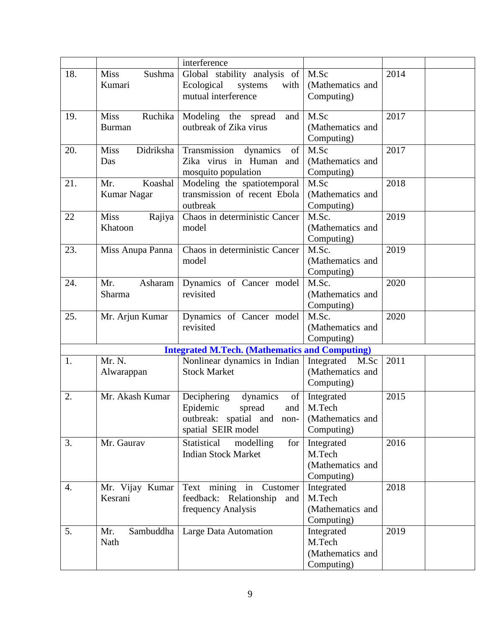|     |                          | interference                                          |                    |      |  |
|-----|--------------------------|-------------------------------------------------------|--------------------|------|--|
| 18. | Sushma<br><b>Miss</b>    | Global stability analysis of                          | M.Sc               | 2014 |  |
|     | Kumari                   | Ecological<br>systems<br>with                         | (Mathematics and   |      |  |
|     |                          | mutual interference                                   | Computing)         |      |  |
|     |                          |                                                       |                    |      |  |
| 19. | Ruchika<br><b>Miss</b>   | Modeling the spread<br>and                            | M.Sc               | 2017 |  |
|     | <b>Burman</b>            | outbreak of Zika virus                                | (Mathematics and   |      |  |
|     |                          |                                                       | Computing)         |      |  |
| 20. | <b>Miss</b><br>Didriksha | Transmission dynamics<br>of                           | M.Sc               | 2017 |  |
|     | Das                      | Zika virus in Human and                               | (Mathematics and   |      |  |
|     |                          | mosquito population                                   | Computing)         |      |  |
| 21. | Koashal<br>Mr.           | Modeling the spatiotemporal                           | M.Sc               | 2018 |  |
|     | <b>Kumar Nagar</b>       | transmission of recent Ebola                          | (Mathematics and   |      |  |
|     |                          | outbreak                                              | Computing)         |      |  |
| 22  | <b>Miss</b><br>Rajiya    | Chaos in deterministic Cancer                         | M.Sc.              | 2019 |  |
|     | Khatoon                  | model                                                 | (Mathematics and   |      |  |
|     |                          |                                                       | Computing)         |      |  |
| 23. | Miss Anupa Panna         | Chaos in deterministic Cancer                         | M.Sc.              | 2019 |  |
|     |                          | model                                                 | (Mathematics and   |      |  |
|     |                          |                                                       | Computing)         |      |  |
| 24. | Mr.<br>Asharam           | Dynamics of Cancer model                              | M.Sc.              | 2020 |  |
|     | Sharma                   | revisited                                             | (Mathematics and   |      |  |
|     |                          |                                                       | Computing)         |      |  |
| 25. | Mr. Arjun Kumar          | Dynamics of Cancer model                              | M.Sc.              | 2020 |  |
|     |                          | revisited                                             | (Mathematics and   |      |  |
|     |                          |                                                       | Computing)         |      |  |
|     |                          | <b>Integrated M.Tech. (Mathematics and Computing)</b> |                    |      |  |
| 1.  | Mr. N.                   | Nonlinear dynamics in Indian                          | Integrated<br>M.Sc | 2011 |  |
|     | Alwarappan               | <b>Stock Market</b>                                   | (Mathematics and   |      |  |
|     |                          |                                                       | Computing)         |      |  |
|     |                          |                                                       |                    |      |  |
| 2.  | Mr. Akash Kumar          | Deciphering<br>dynamics<br>of                         | Integrated         | 2015 |  |
|     |                          | Epidemic<br>spread<br>and                             | M.Tech             |      |  |
|     |                          | outbreak: spatial and non-                            | (Mathematics and   |      |  |
|     |                          | spatial SEIR model                                    | Computing)         |      |  |
| 3.  | Mr. Gaurav               | Statistical<br>modelling<br>for                       | Integrated         | 2016 |  |
|     |                          | <b>Indian Stock Market</b>                            | M.Tech             |      |  |
|     |                          |                                                       | (Mathematics and   |      |  |
|     |                          |                                                       | Computing)         |      |  |
| 4.  | Mr. Vijay Kumar          | Text mining in Customer                               | Integrated         | 2018 |  |
|     | Kesrani                  | feedback: Relationship<br>and                         | M.Tech             |      |  |
|     |                          | frequency Analysis                                    | (Mathematics and   |      |  |
|     |                          |                                                       | Computing)         |      |  |
| 5.  | Sambuddha<br>Mr.         | Large Data Automation                                 | Integrated         | 2019 |  |
|     | Nath                     |                                                       | M.Tech             |      |  |
|     |                          |                                                       | (Mathematics and   |      |  |
|     |                          |                                                       | Computing)         |      |  |
|     |                          |                                                       |                    |      |  |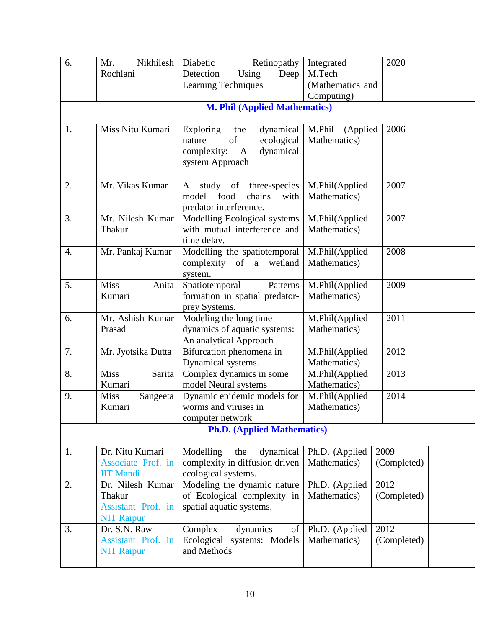| 6. | Nikhilesh<br>Mr.        | Diabetic<br>Retinopathy                        | Integrated                     | 2020        |
|----|-------------------------|------------------------------------------------|--------------------------------|-------------|
|    | Rochlani                | Detection<br>Using<br>Deep                     | M.Tech                         |             |
|    |                         | <b>Learning Techniques</b>                     | (Mathematics and               |             |
|    |                         | <b>M. Phil (Applied Mathematics)</b>           | Computing)                     |             |
|    |                         |                                                |                                |             |
| 1. | Miss Nitu Kumari        | Exploring<br>dynamical<br>the                  | M.Phil<br>(Applied             | 2006        |
|    |                         | of<br>ecological<br>nature                     | Mathematics)                   |             |
|    |                         | dynamical<br>complexity:<br>$\mathbf{A}$       |                                |             |
|    |                         | system Approach                                |                                |             |
| 2. | Mr. Vikas Kumar         | study<br>of<br>three-species<br>A              | M.Phil(Applied                 | 2007        |
|    |                         | model<br>food<br>chains<br>with                | Mathematics)                   |             |
|    |                         | predator interference.                         |                                |             |
| 3. | Mr. Nilesh Kumar        | Modelling Ecological systems                   | M.Phil(Applied                 | 2007        |
|    | Thakur                  | with mutual interference and                   | Mathematics)                   |             |
| 4. | Mr. Pankaj Kumar        | time delay.<br>Modelling the spatiotemporal    | M.Phil(Applied                 | 2008        |
|    |                         | complexity of a wetland                        | Mathematics)                   |             |
|    |                         | system.                                        |                                |             |
| 5. | <b>Miss</b><br>Anita    | Spatiotemporal<br>Patterns                     | M.Phil(Applied                 | 2009        |
|    | Kumari                  | formation in spatial predator-                 | Mathematics)                   |             |
|    |                         | prey Systems.                                  |                                |             |
| 6. | Mr. Ashish Kumar        | Modeling the long time                         | M.Phil(Applied                 | 2011        |
|    | Prasad                  | dynamics of aquatic systems:                   | Mathematics)                   |             |
|    |                         | An analytical Approach                         |                                |             |
| 7. | Mr. Jyotsika Dutta      | Bifurcation phenomena in                       | M.Phil(Applied<br>Mathematics) | 2012        |
| 8. | <b>Miss</b><br>Sarita   | Dynamical systems.<br>Complex dynamics in some | M.Phil(Applied                 | 2013        |
|    | Kumari                  | model Neural systems                           | Mathematics)                   |             |
| 9. | <b>Miss</b><br>Sangeeta | Dynamic epidemic models for                    | M.Phil(Applied                 | 2014        |
|    | Kumari                  | worms and viruses in                           | Mathematics)                   |             |
|    |                         | computer network                               |                                |             |
|    |                         | <b>Ph.D.</b> (Applied Mathematics)             |                                |             |
| 1. | Dr. Nitu Kumari         | Modelling<br>dynamical<br>the                  | Ph.D. (Applied                 | 2009        |
|    | Associate Prof. in      | complexity in diffusion driven                 | Mathematics)                   | (Completed) |
|    | <b>IIT Mandi</b>        | ecological systems.                            |                                |             |
| 2. | Dr. Nilesh Kumar        | Modeling the dynamic nature                    | Ph.D. (Applied                 | 2012        |
|    | Thakur                  | of Ecological complexity in                    | Mathematics)                   | (Completed) |
|    | Assistant Prof. in      | spatial aquatic systems.                       |                                |             |
|    | <b>NIT Raipur</b>       |                                                |                                |             |
| 3. | Dr. S.N. Raw            | Complex<br>dynamics<br>of                      | Ph.D. (Applied                 | 2012        |
|    | Assistant Prof. in      | Ecological systems: Models<br>and Methods      | Mathematics)                   | (Completed) |
|    | <b>NIT Raipur</b>       |                                                |                                |             |
|    |                         |                                                |                                |             |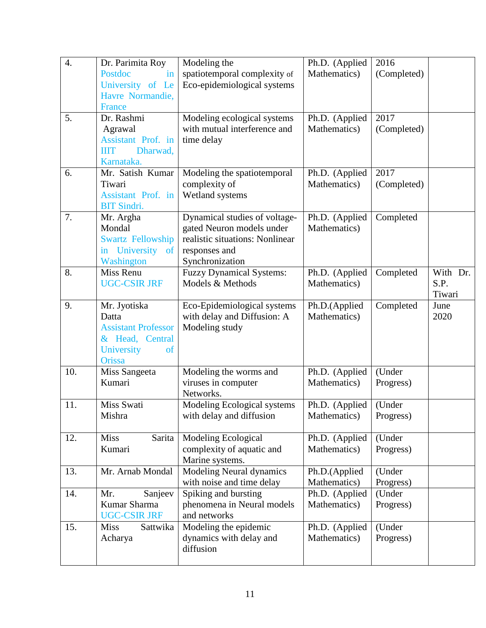| $\overline{4}$ . | Dr. Parimita Roy               | Modeling the                                               | Ph.D. (Applied                 | 2016        |          |
|------------------|--------------------------------|------------------------------------------------------------|--------------------------------|-------------|----------|
|                  | Postdoc<br>in                  | spatiotemporal complexity of                               | Mathematics)                   | (Completed) |          |
|                  | University of Le               | Eco-epidemiological systems                                |                                |             |          |
|                  | Havre Normandie,               |                                                            |                                |             |          |
|                  | France                         |                                                            |                                |             |          |
| 5.               | Dr. Rashmi                     | Modeling ecological systems                                | Ph.D. (Applied                 | 2017        |          |
|                  | Agrawal                        | with mutual interference and                               | Mathematics)                   | (Completed) |          |
|                  | Assistant Prof. in             | time delay                                                 |                                |             |          |
|                  | Dharwad,<br><b>IIIT</b>        |                                                            |                                |             |          |
|                  | Karnataka.                     |                                                            |                                |             |          |
| 6.               | Mr. Satish Kumar               | Modeling the spatiotemporal                                | Ph.D. (Applied                 | 2017        |          |
|                  | Tiwari                         | complexity of                                              | Mathematics)                   | (Completed) |          |
|                  | Assistant Prof. in             | Wetland systems                                            |                                |             |          |
| 7.               | <b>BIT Sindri.</b>             |                                                            |                                |             |          |
|                  | Mr. Argha<br>Mondal            | Dynamical studies of voltage-<br>gated Neuron models under | Ph.D. (Applied<br>Mathematics) | Completed   |          |
|                  | <b>Swartz Fellowship</b>       | realistic situations: Nonlinear                            |                                |             |          |
|                  | in University<br><sub>of</sub> | responses and                                              |                                |             |          |
|                  | Washington                     | Synchronization                                            |                                |             |          |
| 8.               | Miss Renu                      | <b>Fuzzy Dynamical Systems:</b>                            | Ph.D. (Applied                 | Completed   | With Dr. |
|                  | <b>UGC-CSIR JRF</b>            | Models & Methods                                           | Mathematics)                   |             | S.P.     |
|                  |                                |                                                            |                                |             | Tiwari   |
| 9.               | Mr. Jyotiska                   | Eco-Epidemiological systems                                | Ph.D.(Applied                  | Completed   | June     |
|                  | Datta                          | with delay and Diffusion: A                                | Mathematics)                   |             | 2020     |
|                  | <b>Assistant Professor</b>     | Modeling study                                             |                                |             |          |
|                  | & Head, Central                |                                                            |                                |             |          |
|                  | University<br><sub>of</sub>    |                                                            |                                |             |          |
|                  | Orissa                         |                                                            |                                |             |          |
| 10.              | Miss Sangeeta                  | Modeling the worms and                                     | Ph.D. (Applied                 | (Under      |          |
|                  | Kumari                         | viruses in computer                                        | Mathematics)                   | Progress)   |          |
|                  |                                | Networks.                                                  |                                |             |          |
| 11.              | Miss Swati<br>Mishra           | Modeling Ecological systems<br>with delay and diffusion    | Ph.D. (Applied                 | (Under      |          |
|                  |                                |                                                            | Mathematics)                   | Progress)   |          |
| 12.              | <b>Miss</b><br>Sarita          | Modeling Ecological                                        | Ph.D. (Applied                 | (Under      |          |
|                  | Kumari                         | complexity of aquatic and                                  | Mathematics)                   | Progress)   |          |
|                  |                                | Marine systems.                                            |                                |             |          |
| 13.              | Mr. Arnab Mondal               | <b>Modeling Neural dynamics</b>                            | Ph.D.(Applied                  | (Under      |          |
|                  |                                | with noise and time delay                                  | Mathematics)                   | Progress)   |          |
| 14.              | Mr.<br>Sanjeev                 | Spiking and bursting                                       | Ph.D. (Applied                 | (Under      |          |
|                  | Kumar Sharma                   | phenomena in Neural models                                 | Mathematics)                   | Progress)   |          |
|                  | <b>UGC-CSIR JRF</b>            | and networks                                               |                                |             |          |
| 15.              | <b>Miss</b><br>Sattwika        | Modeling the epidemic                                      | Ph.D. (Applied                 | (Under      |          |
|                  | Acharya                        | dynamics with delay and                                    | Mathematics)                   | Progress)   |          |
|                  |                                | diffusion                                                  |                                |             |          |
|                  |                                |                                                            |                                |             |          |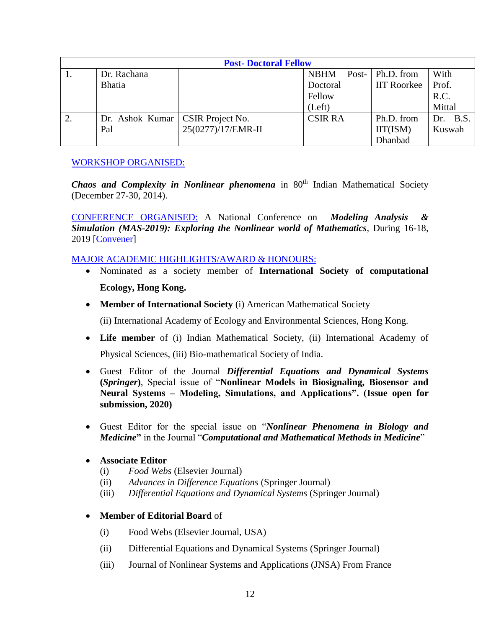|    | <b>Post-Doctoral Fellow</b>        |                    |                |                    |          |
|----|------------------------------------|--------------------|----------------|--------------------|----------|
|    | Dr. Rachana                        |                    | <b>NBHM</b>    | Post-   Ph.D. from | With     |
|    | <b>Bhatia</b>                      |                    | Doctoral       | <b>IIT Roorkee</b> | Prof.    |
|    |                                    |                    | Fellow         |                    | R.C.     |
|    |                                    |                    | (Left)         |                    | Mittal   |
| 2. | Dr. Ashok Kumar   CSIR Project No. |                    | <b>CSIR RA</b> | Ph.D. from         | Dr. B.S. |
|    | Pal                                | 25(0277)/17/EMR-II |                | IIT(ISM)           | Kuswah   |
|    |                                    |                    |                | Dhanbad            |          |

### [WORKSHOP ORGANISED:](http://www.ismdhanbad.ac.in/cv/cv_ranjit.pdf)

*Chaos and Complexity in Nonlinear phenomena* in 80<sup>th</sup> Indian Mathematical Society (December 27-30, 2014).

[CONFERENCE ORGANISED:](http://www.ismdhanbad.ac.in/cv/cv_ranjit.pdf) A National Conference on *Modeling Analysis & Simulation (MAS-2019): Exploring the Nonlinear world of Mathematics*, During 16-18, 2019 [Convener]

#### [MAJOR ACADEMIC HIGHLIGHTS/AWARD & HONOURS:](http://www.ismdhanbad.ac.in/cv/cv_ranjit.pdf)

- Nominated as a society member of **International Society of computational Ecology, Hong Kong.**
- **Member of International Society** (i) American Mathematical Society

(ii) International Academy of Ecology and Environmental Sciences, Hong Kong.

- **Life member** of (i) Indian Mathematical Society, (ii) International Academy of Physical Sciences, (iii) Bio-mathematical Society of India.
- Guest Editor of the Journal *Differential Equations and Dynamical Systems*  **(***Springer***)**, Special issue of "**Nonlinear Models in Biosignaling, Biosensor and Neural Systems – Modeling, Simulations, and Applications". (Issue open for submission, 2020)**
- Guest Editor for the special issue on "*Nonlinear Phenomena in Biology and Medicine***"** in the Journal "*Computational and Mathematical Methods in Medicine*"

#### **Associate Editor**

- (i) *Food Webs* (Elsevier Journal)
- (ii) *Advances in Difference Equations* (Springer Journal)
- (iii) *Differential Equations and Dynamical Systems* (Springer Journal)

#### **Member of Editorial Board** of

- (i) Food Webs (Elsevier Journal, USA)
- (ii) Differential Equations and Dynamical Systems (Springer Journal)
- (iii) Journal of Nonlinear Systems and Applications (JNSA) From France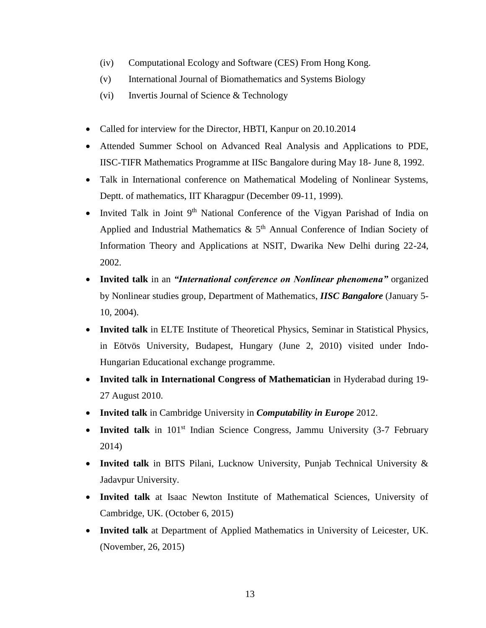- (iv) Computational Ecology and Software (CES) From Hong Kong.
- (v) International Journal of Biomathematics and Systems Biology
- (vi) Invertis Journal of Science & Technology
- Called for interview for the Director, HBTI, Kanpur on 20.10.2014
- Attended Summer School on Advanced Real Analysis and Applications to PDE, IISC-TIFR Mathematics Programme at IISc Bangalore during May 18- June 8, 1992.
- Talk in International conference on Mathematical Modeling of Nonlinear Systems, Deptt. of mathematics, IIT Kharagpur (December 09-11, 1999).
- Invited Talk in Joint 9<sup>th</sup> National Conference of the Vigyan Parishad of India on Applied and Industrial Mathematics  $\&$  5<sup>th</sup> Annual Conference of Indian Society of Information Theory and Applications at NSIT, Dwarika New Delhi during 22-24, 2002.
- **Invited talk** in an *"International conference on Nonlinear phenomena"* organized by Nonlinear studies group, Department of Mathematics, *IISC Bangalore* (January 5- 10, 2004).
- **Invited talk** in ELTE Institute of Theoretical Physics, Seminar in Statistical Physics, in Eötvös University, Budapest, Hungary (June 2, 2010) visited under Indo-Hungarian Educational exchange programme.
- **Invited talk in International Congress of Mathematician** in Hyderabad during 19- 27 August 2010.
- **Invited talk** in Cambridge University in *Computability in Europe* 2012.
- Invited talk in 101<sup>st</sup> Indian Science Congress, Jammu University (3-7 February 2014)
- **Invited talk** in BITS Pilani, Lucknow University, Punjab Technical University & Jadavpur University.
- **Invited talk** at Isaac Newton Institute of Mathematical Sciences, University of Cambridge, UK. (October 6, 2015)
- **Invited talk** at Department of Applied Mathematics in University of Leicester, UK. (November, 26, 2015)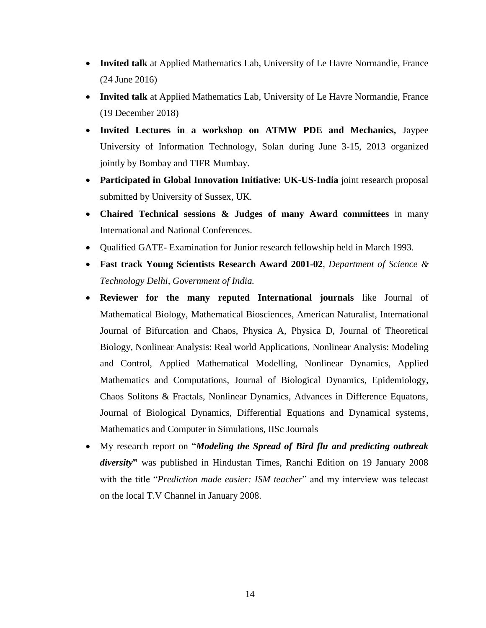- **Invited talk** at Applied Mathematics Lab, University of Le Havre Normandie, France (24 June 2016)
- **Invited talk** at Applied Mathematics Lab, University of Le Havre Normandie, France (19 December 2018)
- **Invited Lectures in a workshop on ATMW PDE and Mechanics,** Jaypee University of Information Technology, Solan during June 3-15, 2013 organized jointly by Bombay and TIFR Mumbay.
- **Participated in Global Innovation Initiative: UK-US-India** joint research proposal submitted by University of Sussex, UK.
- **Chaired Technical sessions & Judges of many Award committees** in many International and National Conferences.
- Qualified GATE- Examination for Junior research fellowship held in March 1993.
- **Fast track Young Scientists Research Award 2001-02**, *Department of Science & Technology Delhi, Government of India.*
- **Reviewer for the many reputed International journals** like Journal of Mathematical Biology, Mathematical Biosciences, American Naturalist, International Journal of Bifurcation and Chaos, Physica A, Physica D, Journal of Theoretical Biology, Nonlinear Analysis: Real world Applications, Nonlinear Analysis: Modeling and Control, Applied Mathematical Modelling, Nonlinear Dynamics, Applied Mathematics and Computations, Journal of Biological Dynamics, Epidemiology, Chaos Solitons & Fractals, Nonlinear Dynamics, Advances in Difference Equatons, Journal of Biological Dynamics, Differential Equations and Dynamical systems, Mathematics and Computer in Simulations, IISc Journals
- My research report on "*Modeling the Spread of Bird flu and predicting outbreak diversity***"** was published in Hindustan Times, Ranchi Edition on 19 January 2008 with the title "*Prediction made easier: ISM teacher*" and my interview was telecast on the local T.V Channel in January 2008.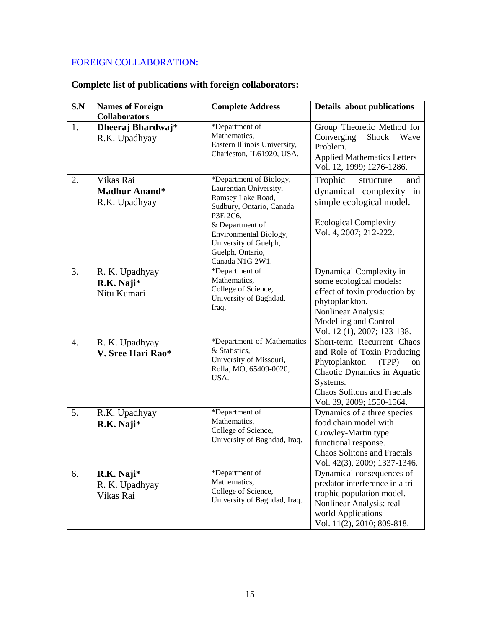# [FOREIGN COLLABORATION:](http://www.ismdhanbad.ac.in/cv/cv_ranjit.pdf)

# **Complete list of publications with foreign collaborators:**

| S.N | <b>Names of Foreign</b><br><b>Collaborators</b>    | <b>Complete Address</b>                                                                                                                                                                                                     | Details about publications                                                                                                                                                                              |
|-----|----------------------------------------------------|-----------------------------------------------------------------------------------------------------------------------------------------------------------------------------------------------------------------------------|---------------------------------------------------------------------------------------------------------------------------------------------------------------------------------------------------------|
| 1.  | Dheeraj Bhardwaj*<br>R.K. Upadhyay                 | *Department of<br>Mathematics,<br>Eastern Illinois University,<br>Charleston, IL61920, USA.                                                                                                                                 | Group Theoretic Method for<br>Shock<br>Converging<br>Wave<br>Problem.<br><b>Applied Mathematics Letters</b><br>Vol. 12, 1999; 1276-1286.                                                                |
| 2.  | Vikas Rai<br><b>Madhur Anand*</b><br>R.K. Upadhyay | *Department of Biology,<br>Laurentian University,<br>Ramsey Lake Road,<br>Sudbury, Ontario, Canada<br>P3E 2C6.<br>& Department of<br>Environmental Biology,<br>University of Guelph,<br>Guelph, Ontario,<br>Canada N1G 2W1. | Trophic<br>structure<br>and<br>dynamical complexity in<br>simple ecological model.<br><b>Ecological Complexity</b><br>Vol. 4, 2007; 212-222.                                                            |
| 3.  | R. K. Upadhyay<br>R.K. Naji*<br>Nitu Kumari        | *Department of<br>Mathematics,<br>College of Science,<br>University of Baghdad,<br>Iraq.                                                                                                                                    | Dynamical Complexity in<br>some ecological models:<br>effect of toxin production by<br>phytoplankton.<br>Nonlinear Analysis:<br>Modelling and Control<br>Vol. 12 (1), 2007; 123-138.                    |
| 4.  | R. K. Upadhyay<br>V. Sree Hari Rao*                | *Department of Mathematics<br>& Statistics,<br>University of Missouri,<br>Rolla, MO, 65409-0020,<br>USA.                                                                                                                    | Short-term Recurrent Chaos<br>and Role of Toxin Producing<br>Phytoplankton<br>(TPP)<br>on<br>Chaotic Dynamics in Aquatic<br>Systems.<br><b>Chaos Solitons and Fractals</b><br>Vol. 39, 2009; 1550-1564. |
| 5.  | R.K. Upadhyay<br>R.K. Naji*                        | *Department of<br>Mathematics,<br>College of Science,<br>University of Baghdad, Iraq.                                                                                                                                       | Dynamics of a three species<br>food chain model with<br>Crowley-Martin type<br>functional response.<br>Chaos Solitons and Fractals<br>Vol. 42(3), 2009; 1337-1346.                                      |
| 6.  | R.K. Naji*<br>R. K. Upadhyay<br>Vikas Rai          | *Department of<br>Mathematics,<br>College of Science,<br>University of Baghdad, Iraq.                                                                                                                                       | Dynamical consequences of<br>predator interference in a tri-<br>trophic population model.<br>Nonlinear Analysis: real<br>world Applications<br>Vol. 11(2), 2010; 809-818.                               |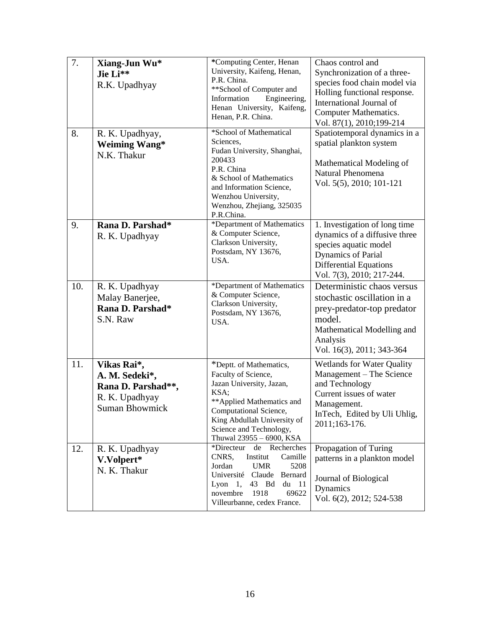| 7.  | Xiang-Jun Wu*<br>Jie Li**<br>R.K. Upadhyay                                                     | *Computing Center, Henan<br>University, Kaifeng, Henan,<br>P.R. China.<br>** School of Computer and<br>Information<br>Engineering,                                                                                               | Chaos control and<br>Synchronization of a three-<br>species food chain model via<br>Holling functional response.<br>International Journal of                                       |
|-----|------------------------------------------------------------------------------------------------|----------------------------------------------------------------------------------------------------------------------------------------------------------------------------------------------------------------------------------|------------------------------------------------------------------------------------------------------------------------------------------------------------------------------------|
|     |                                                                                                | Henan University, Kaifeng,<br>Henan, P.R. China.                                                                                                                                                                                 | <b>Computer Mathematics.</b><br>Vol. 87(1), 2010;199-214                                                                                                                           |
| 8.  | R. K. Upadhyay,<br><b>Weiming Wang*</b><br>N.K. Thakur                                         | *School of Mathematical<br>Sciences,<br>Fudan University, Shanghai,<br>200433<br>P.R. China<br>& School of Mathematics<br>and Information Science,<br>Wenzhou University,<br>Wenzhou, Zhejiang, 325035<br>P.R.China.             | Spatiotemporal dynamics in a<br>spatial plankton system<br>Mathematical Modeling of<br>Natural Phenomena<br>Vol. 5(5), 2010; 101-121                                               |
| 9.  | Rana D. Parshad*<br>R. K. Upadhyay                                                             | *Department of Mathematics<br>& Computer Science,<br>Clarkson University,<br>Postsdam, NY 13676,<br>USA.                                                                                                                         | 1. Investigation of long time<br>dynamics of a diffusive three<br>species aquatic model<br><b>Dynamics of Parial</b><br><b>Differential Equations</b><br>Vol. 7(3), 2010; 217-244. |
| 10. | R. K. Upadhyay<br>Malay Banerjee,<br>Rana D. Parshad*<br>S.N. Raw                              | *Department of Mathematics<br>& Computer Science,<br>Clarkson University,<br>Postsdam, NY 13676,<br>USA.                                                                                                                         | Deterministic chaos versus<br>stochastic oscillation in a<br>prey-predator-top predator<br>model.<br>Mathematical Modelling and<br>Analysis<br>Vol. 16(3), 2011; 343-364           |
| 11. | Vikas Rai*,<br>A. M. Sedeki*,<br>Rana D. Parshad**,<br>R. K. Upadhyay<br><b>Suman Bhowmick</b> | *Deptt. of Mathematics,<br>Faculty of Science,<br>Jazan University, Jazan,<br>KSA;<br>** Applied Mathematics and<br>Computational Science,<br>King Abdullah University of<br>Science and Technology,<br>Thuwal 23955 - 6900, KSA | <b>Wetlands for Water Quality</b><br>Management - The Science<br>and Technology<br>Current issues of water<br>Management.<br>In Tech, Edited by Uli Uhlig,<br>2011;163-176.        |
| 12. | R. K. Upadhyay<br>V.Volpert*<br>N. K. Thakur                                                   | *Directeur<br>de Recherches<br>CNRS,<br>Institut<br>Camille<br>Jordan<br><b>UMR</b><br>5208<br>Université Claude<br>Bernard<br>Lyon<br>1, 43 Bd<br>du<br>-11<br>novembre<br>1918<br>69622<br>Villeurbanne, cedex France.         | Propagation of Turing<br>patterns in a plankton model<br>Journal of Biological<br>Dynamics<br>Vol. 6(2), 2012; 524-538                                                             |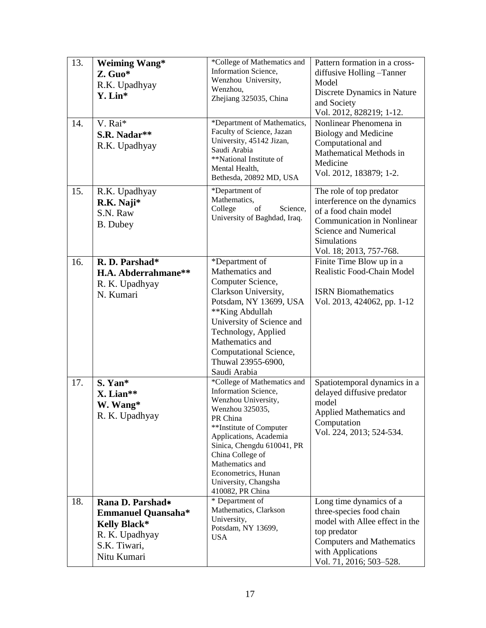| 13.<br>14. | <b>Weiming Wang*</b><br>Z. Guo*<br>R.K. Upadhyay<br>Y. Lin*<br>V. Rai*<br>S.R. Nadar**<br>R.K. Upadhyay               | *College of Mathematics and<br>Information Science,<br>Wenzhou University,<br>Wenzhou,<br>Zhejiang 325035, China<br>*Department of Mathematics,<br>Faculty of Science, Jazan<br>University, 45142 Jizan,<br>Saudi Arabia                                                                               | Pattern formation in a cross-<br>diffusive Holling -Tanner<br>Model<br>Discrete Dynamics in Nature<br>and Society<br>Vol. 2012, 828219; 1-12.<br>Nonlinear Phenomena in<br><b>Biology and Medicine</b><br>Computational and<br>Mathematical Methods in |
|------------|-----------------------------------------------------------------------------------------------------------------------|--------------------------------------------------------------------------------------------------------------------------------------------------------------------------------------------------------------------------------------------------------------------------------------------------------|--------------------------------------------------------------------------------------------------------------------------------------------------------------------------------------------------------------------------------------------------------|
|            |                                                                                                                       | **National Institute of<br>Mental Health,<br>Bethesda, 20892 MD, USA                                                                                                                                                                                                                                   | Medicine<br>Vol. 2012, 183879; 1-2.                                                                                                                                                                                                                    |
| 15.        | R.K. Upadhyay<br>R.K. Naji*<br>S.N. Raw<br>B. Dubey                                                                   | *Department of<br>Mathematics,<br>College<br>Science,<br>of<br>University of Baghdad, Iraq.                                                                                                                                                                                                            | The role of top predator<br>interference on the dynamics<br>of a food chain model<br><b>Communication in Nonlinear</b><br>Science and Numerical<br>Simulations<br>Vol. 18; 2013, 757-768.                                                              |
| 16.        | R. D. Parshad*<br>H.A. Abderrahmane**<br>R. K. Upadhyay<br>N. Kumari                                                  | *Department of<br>Mathematics and<br>Computer Science,<br>Clarkson University,<br>Potsdam, NY 13699, USA<br>**King Abdullah<br>University of Science and<br>Technology, Applied<br>Mathematics and<br>Computational Science,<br>Thuwal 23955-6900,<br>Saudi Arabia                                     | Finite Time Blow up in a<br>Realistic Food-Chain Model<br><b>ISRN</b> Biomathematics<br>Vol. 2013, 424062, pp. 1-12                                                                                                                                    |
| 17.        | S. Yan*<br>X. Lian**<br>W. Wang*<br>R. K. Upadhyay                                                                    | *College of Mathematics and<br>Information Science,<br>Wenzhou University,<br>Wenzhou 325035,<br>PR China<br>**Institute of Computer<br>Applications, Academia<br>Sinica, Chengdu 610041, PR<br>China College of<br>Mathematics and<br>Econometrics, Hunan<br>University, Changsha<br>410082, PR China | Spatiotemporal dynamics in a<br>delayed diffusive predator<br>model<br><b>Applied Mathematics and</b><br>Computation<br>Vol. 224, 2013; 524-534.                                                                                                       |
| 18.        | Rana D. Parshad*<br><b>Emmanuel Quansaha*</b><br><b>Kelly Black*</b><br>R. K. Upadhyay<br>S.K. Tiwari,<br>Nitu Kumari | * Department of<br>Mathematics, Clarkson<br>University,<br>Potsdam, NY 13699,<br><b>USA</b>                                                                                                                                                                                                            | Long time dynamics of a<br>three-species food chain<br>model with Allee effect in the<br>top predator<br><b>Computers and Mathematics</b><br>with Applications<br>Vol. 71, 2016; 503–528.                                                              |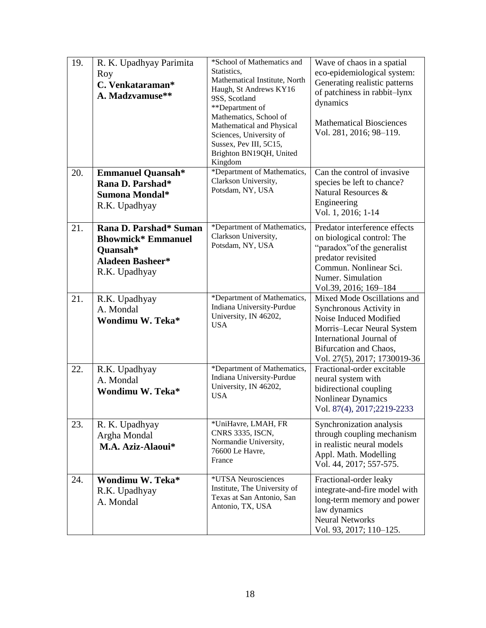| 19. | R. K. Upadhyay Parimita<br>Roy<br>C. Venkataraman*<br>A. Madzvamuse**                                       | *School of Mathematics and<br>Statistics,<br>Mathematical Institute, North<br>Haugh, St Andrews KY16<br>9SS, Scotland<br>**Department of<br>Mathematics, School of<br>Mathematical and Physical<br>Sciences, University of<br>Sussex, Pev III, 5C15,<br>Brighton BN19QH, United<br>Kingdom | Wave of chaos in a spatial<br>eco-epidemiological system:<br>Generating realistic patterns<br>of patchiness in rabbit-lynx<br>dynamics<br><b>Mathematical Biosciences</b><br>Vol. 281, 2016; 98-119. |
|-----|-------------------------------------------------------------------------------------------------------------|--------------------------------------------------------------------------------------------------------------------------------------------------------------------------------------------------------------------------------------------------------------------------------------------|------------------------------------------------------------------------------------------------------------------------------------------------------------------------------------------------------|
| 20. | <b>Emmanuel Quansah*</b><br>Rana D. Parshad*<br>Sumona Mondal*<br>R.K. Upadhyay                             | *Department of Mathematics,<br>Clarkson University,<br>Potsdam, NY, USA                                                                                                                                                                                                                    | Can the control of invasive<br>species be left to chance?<br>Natural Resources &<br>Engineering<br>Vol. 1, 2016; 1-14                                                                                |
| 21. | Rana D. Parshad* Suman<br><b>Bhowmick* Emmanuel</b><br>Quansah*<br><b>Aladeen Basheer*</b><br>R.K. Upadhyay | *Department of Mathematics,<br>Clarkson University,<br>Potsdam, NY, USA                                                                                                                                                                                                                    | Predator interference effects<br>on biological control: The<br>"paradox" of the generalist<br>predator revisited<br>Commun. Nonlinear Sci.<br>Numer. Simulation<br>Vol.39, 2016; 169-184             |
| 21. | R.K. Upadhyay<br>A. Mondal<br>Wondimu W. Teka*                                                              | *Department of Mathematics,<br>Indiana University-Purdue<br>University, IN 46202,<br><b>USA</b>                                                                                                                                                                                            | Mixed Mode Oscillations and<br>Synchronous Activity in<br>Noise Induced Modified<br>Morris-Lecar Neural System<br>International Journal of<br>Bifurcation and Chaos,<br>Vol. 27(5), 2017; 1730019-36 |
| 22. | R.K. Upadhyay<br>A. Mondal<br>Wondimu W. Teka*                                                              | *Department of Mathematics,<br>Indiana University-Purdue<br>University, IN 46202,<br><b>USA</b>                                                                                                                                                                                            | Fractional-order excitable<br>neural system with<br>bidirectional coupling<br>Nonlinear Dynamics<br>Vol. 87(4), 2017;2219-2233                                                                       |
| 23. | R. K. Upadhyay<br>Argha Mondal<br>M.A. Aziz-Alaoui*                                                         | *UniHavre, LMAH, FR<br>CNRS 3335, ISCN,<br>Normandie University,<br>76600 Le Havre,<br>France                                                                                                                                                                                              | Synchronization analysis<br>through coupling mechanism<br>in realistic neural models<br>Appl. Math. Modelling<br>Vol. 44, 2017; 557-575.                                                             |
| 24. | Wondimu W. Teka*<br>R.K. Upadhyay<br>A. Mondal                                                              | *UTSA Neurosciences<br>Institute, The University of<br>Texas at San Antonio, San<br>Antonio, TX, USA                                                                                                                                                                                       | Fractional-order leaky<br>integrate-and-fire model with<br>long-term memory and power<br>law dynamics<br><b>Neural Networks</b><br>Vol. 93, 2017; 110-125.                                           |